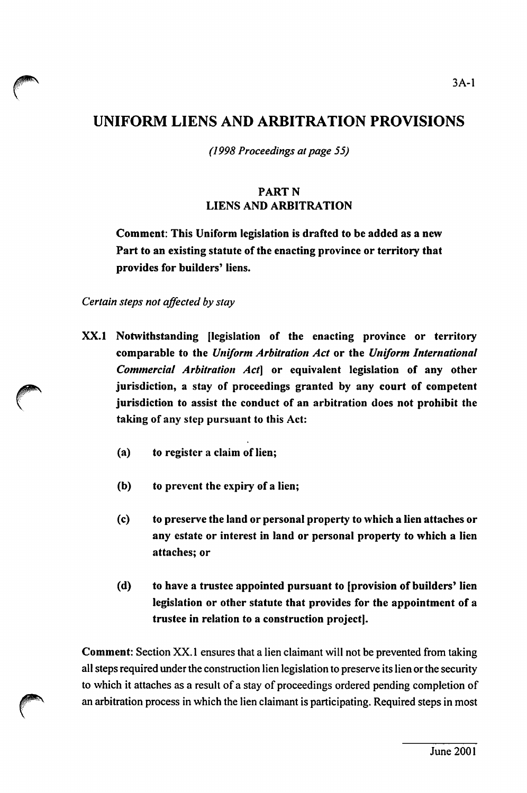## UNIFORM LIENS AND ARBITRATION PROVISIONS

(1998 Proceedings at page 55)

## PARTN LIENS AND ARBITRATION

Comment: This Uniform legislation is drafted to be added as a new Part to an existing statute of the enacting province or territory that provides for builders' liens.

Certain steps not affected by stay

- XX.1 Notwithstanding [legislation of the enacting province or territory comparable to the Uniform Arbitration Act or the Uniform International Commercial Arbitration Act] or equivalent legislation of any other jurisdiction, a stay of proceedings granted by any court of competent jurisdiction to assist the conduct of an arbitration does not prohibit the taking of any step pursuant to this Act:
	- (a) to register a claim of lien;
	- (b) to prevent the expiry of a lien;
	- (c) to preserve the land or personal property to which a lien attaches or any estate or interest in land or personal property to which a lien attaches; or
	- (d) to have a trustee appointed pursuant to [provision of builders' lien legislation or other statute that provides for the appointment of a trustee in relation to a construction projectl.

Comment: Section XX. 1 ensures that a lien claimant will not be prevented from taking all steps required under the construction lien legislation to preserve its lien or the security to which it attaches as a result of a stay of proceedings ordered pending completion of an arbitration process in which the lien claimant is participating. Required steps in most